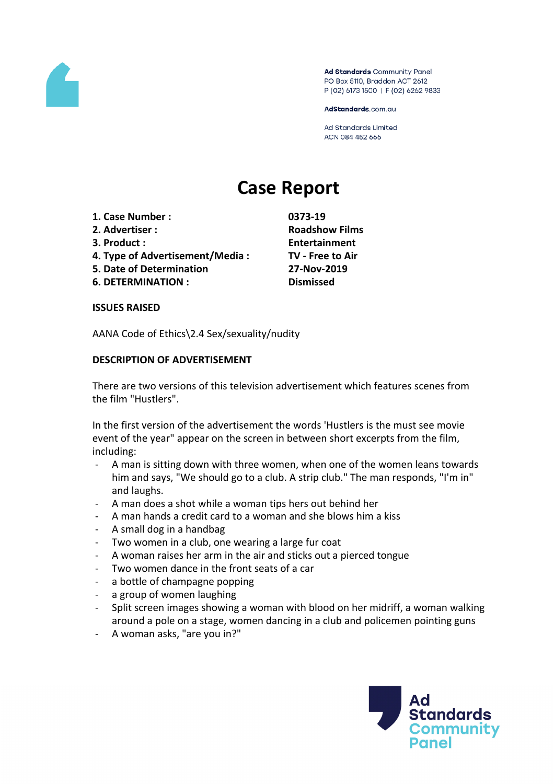

Ad Standards Community Panel PO Box 5110, Braddon ACT 2612 P (02) 6173 1500 | F (02) 6262 9833

AdStandards.com.au

**Ad Standards Limited** ACN 084 452 666

# **Case Report**

- **1. Case Number : 0373-19**
- **2. Advertiser : Roadshow Films**
- 
- **4. Type of Advertisement/Media : TV - Free to Air**
- **5. Date of Determination 27-Nov-2019**
- **6. DETERMINATION : Dismissed**

**3. Product : Entertainment**

### **ISSUES RAISED**

AANA Code of Ethics\2.4 Sex/sexuality/nudity

## **DESCRIPTION OF ADVERTISEMENT**

There are two versions of this television advertisement which features scenes from the film "Hustlers".

In the first version of the advertisement the words 'Hustlers is the must see movie event of the year" appear on the screen in between short excerpts from the film, including:

- A man is sitting down with three women, when one of the women leans towards him and says, "We should go to a club. A strip club." The man responds, "I'm in" and laughs.
- A man does a shot while a woman tips hers out behind her
- A man hands a credit card to a woman and she blows him a kiss
- A small dog in a handbag
- Two women in a club, one wearing a large fur coat
- A woman raises her arm in the air and sticks out a pierced tongue
- Two women dance in the front seats of a car
- a bottle of champagne popping
- a group of women laughing
- Split screen images showing a woman with blood on her midriff, a woman walking around a pole on a stage, women dancing in a club and policemen pointing guns
- A woman asks, "are you in?"

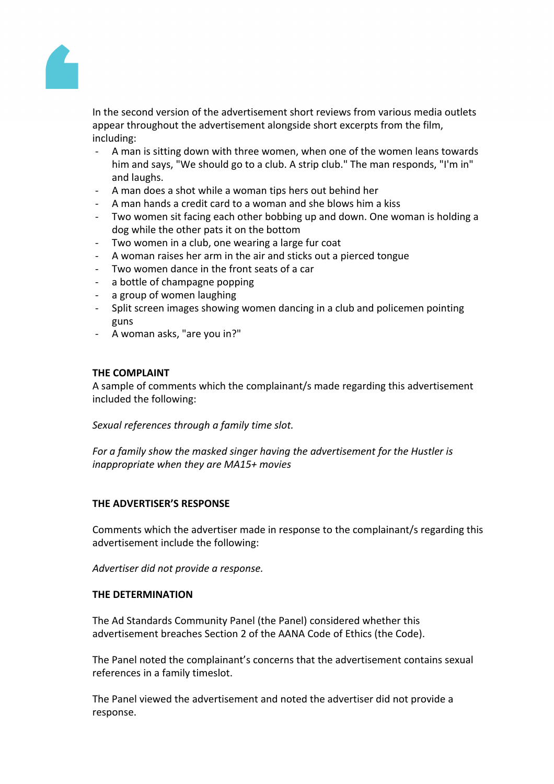

In the second version of the advertisement short reviews from various media outlets appear throughout the advertisement alongside short excerpts from the film, including:

- A man is sitting down with three women, when one of the women leans towards him and says, "We should go to a club. A strip club." The man responds, "I'm in" and laughs.
- A man does a shot while a woman tips hers out behind her
- A man hands a credit card to a woman and she blows him a kiss
- Two women sit facing each other bobbing up and down. One woman is holding a dog while the other pats it on the bottom
- Two women in a club, one wearing a large fur coat
- A woman raises her arm in the air and sticks out a pierced tongue
- Two women dance in the front seats of a car
- a bottle of champagne popping
- a group of women laughing
- Split screen images showing women dancing in a club and policemen pointing guns
- A woman asks, "are you in?"

## **THE COMPLAINT**

A sample of comments which the complainant/s made regarding this advertisement included the following:

*Sexual references through a family time slot.*

*For a family show the masked singer having the advertisement for the Hustler is inappropriate when they are MA15+ movies*

## **THE ADVERTISER'S RESPONSE**

Comments which the advertiser made in response to the complainant/s regarding this advertisement include the following:

*Advertiser did not provide a response.*

## **THE DETERMINATION**

The Ad Standards Community Panel (the Panel) considered whether this advertisement breaches Section 2 of the AANA Code of Ethics (the Code).

The Panel noted the complainant's concerns that the advertisement contains sexual references in a family timeslot.

The Panel viewed the advertisement and noted the advertiser did not provide a response.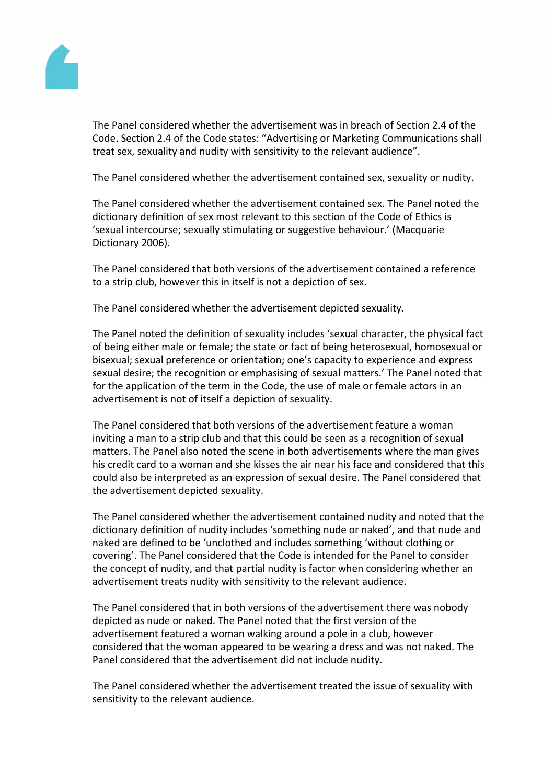

The Panel considered whether the advertisement was in breach of Section 2.4 of the Code. Section 2.4 of the Code states: "Advertising or Marketing Communications shall treat sex, sexuality and nudity with sensitivity to the relevant audience".

The Panel considered whether the advertisement contained sex, sexuality or nudity.

The Panel considered whether the advertisement contained sex. The Panel noted the dictionary definition of sex most relevant to this section of the Code of Ethics is 'sexual intercourse; sexually stimulating or suggestive behaviour.' (Macquarie Dictionary 2006).

The Panel considered that both versions of the advertisement contained a reference to a strip club, however this in itself is not a depiction of sex.

The Panel considered whether the advertisement depicted sexuality.

The Panel noted the definition of sexuality includes 'sexual character, the physical fact of being either male or female; the state or fact of being heterosexual, homosexual or bisexual; sexual preference or orientation; one's capacity to experience and express sexual desire; the recognition or emphasising of sexual matters.' The Panel noted that for the application of the term in the Code, the use of male or female actors in an advertisement is not of itself a depiction of sexuality.

The Panel considered that both versions of the advertisement feature a woman inviting a man to a strip club and that this could be seen as a recognition of sexual matters. The Panel also noted the scene in both advertisements where the man gives his credit card to a woman and she kisses the air near his face and considered that this could also be interpreted as an expression of sexual desire. The Panel considered that the advertisement depicted sexuality.

The Panel considered whether the advertisement contained nudity and noted that the dictionary definition of nudity includes 'something nude or naked', and that nude and naked are defined to be 'unclothed and includes something 'without clothing or covering'. The Panel considered that the Code is intended for the Panel to consider the concept of nudity, and that partial nudity is factor when considering whether an advertisement treats nudity with sensitivity to the relevant audience.

The Panel considered that in both versions of the advertisement there was nobody depicted as nude or naked. The Panel noted that the first version of the advertisement featured a woman walking around a pole in a club, however considered that the woman appeared to be wearing a dress and was not naked. The Panel considered that the advertisement did not include nudity.

The Panel considered whether the advertisement treated the issue of sexuality with sensitivity to the relevant audience.